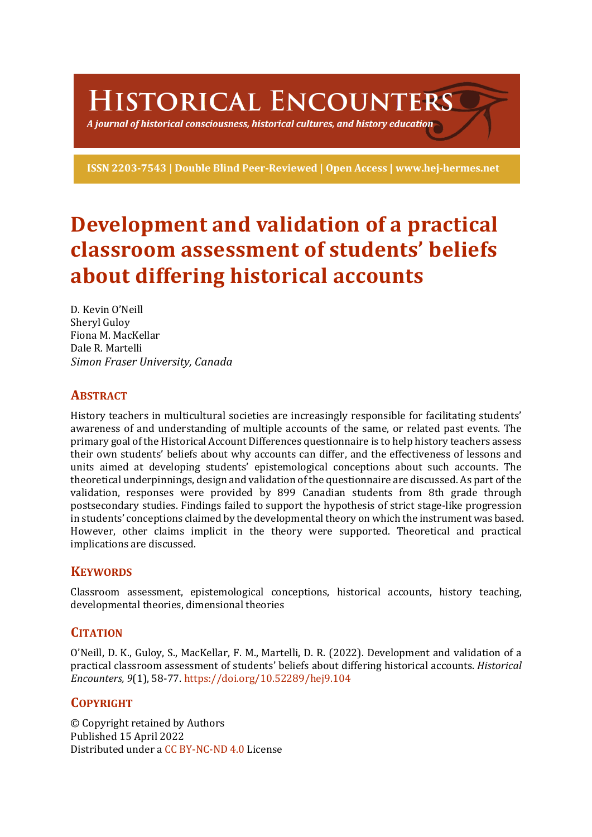HISTORICAL ENCOUNTERS

A journal of historical consciousness, historical cultures, and history education  $\mathbb S$ 

ISSN 2203-7543 | Double Blind Peer-Reviewed | Open Access | www.hej-hermes.net

# **Development and validation of a practical classroom assessment of students' beliefs about differing historical accounts**

D. Kevin O'Neill Sheryl Gulov Fiona M. MacKellar Dale R. Martelli *Simon Fraser University, Canada*

# **ABSTRACT**

History teachers in multicultural societies are increasingly responsible for facilitating students' awareness of and understanding of multiple accounts of the same, or related past events. The primary goal of the Historical Account Differences questionnaire is to help history teachers assess their own students' beliefs about why accounts can differ, and the effectiveness of lessons and units aimed at developing students' epistemological conceptions about such accounts. The theoretical underpinnings, design and validation of the questionnaire are discussed. As part of the validation, responses were provided by 899 Canadian students from 8th grade through postsecondary studies. Findings failed to support the hypothesis of strict stage-like progression in students' conceptions claimed by the developmental theory on which the instrument was based. However, other claims implicit in the theory were supported. Theoretical and practical implications are discussed.

# **KEYWORDS**

Classroom assessment, epistemological conceptions, historical accounts, history teaching, developmental theories, dimensional theories

# **CITATION**

O'Neill, D. K., Guloy, S., MacKellar, F. M., Martelli, D. R. (2022). Development and validation of a practical classroom assessment of students' beliefs about differing historical accounts. *Historical Encounters, 9*(1), 58-77. https://doi.org/10.52289/hej9.104

# **COPYRIGHT**

© Copyright retained by Authors Published 15 April 2022 Distributed under a CC BY-NC-ND 4.0 License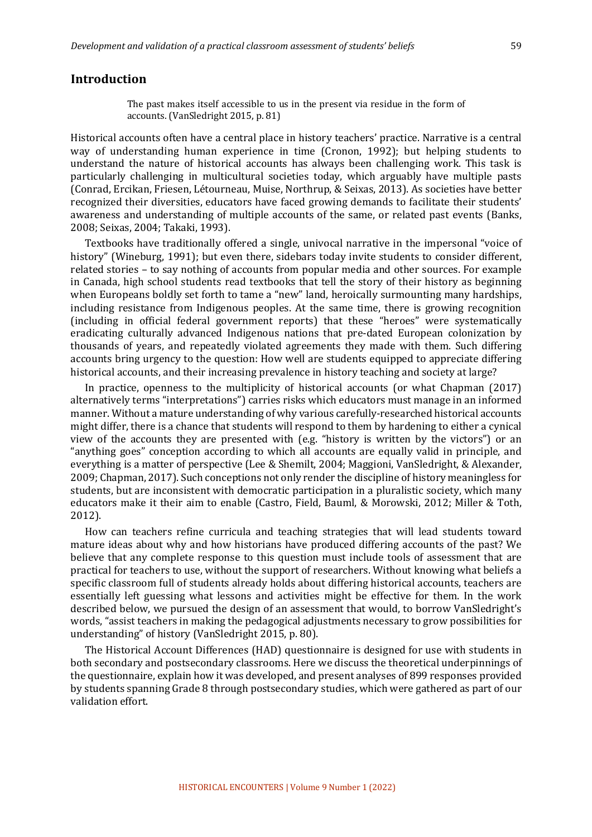## **Introduction**

The past makes itself accessible to us in the present via residue in the form of accounts. (VanSledright 2015, p. 81)

Historical accounts often have a central place in history teachers' practice. Narrative is a central way of understanding human experience in time (Cronon, 1992); but helping students to understand the nature of historical accounts has always been challenging work. This task is particularly challenging in multicultural societies today, which arguably have multiple pasts (Conrad, Ercikan, Friesen, Létourneau, Muise, Northrup, & Seixas, 2013). As societies have better recognized their diversities, educators have faced growing demands to facilitate their students' awareness and understanding of multiple accounts of the same, or related past events (Banks, 2008; Seixas, 2004; Takaki, 1993).

Textbooks have traditionally offered a single, univocal narrative in the impersonal "voice of history" (Wineburg, 1991); but even there, sidebars today invite students to consider different, related stories – to say nothing of accounts from popular media and other sources. For example in Canada, high school students read textbooks that tell the story of their history as beginning when Europeans boldly set forth to tame a "new" land, heroically surmounting many hardships, including resistance from Indigenous peoples. At the same time, there is growing recognition (including in official federal government reports) that these "heroes" were systematically eradicating culturally advanced Indigenous nations that pre-dated European colonization by thousands of years, and repeatedly violated agreements they made with them. Such differing accounts bring urgency to the question: How well are students equipped to appreciate differing historical accounts, and their increasing prevalence in history teaching and society at large?

In practice, openness to the multiplicity of historical accounts (or what Chapman  $(2017)$ ) alternatively terms "interpretations") carries risks which educators must manage in an informed manner. Without a mature understanding of why various carefully-researched historical accounts might differ, there is a chance that students will respond to them by hardening to either a cynical view of the accounts they are presented with (e.g. "history is written by the victors") or an "anything goes" conception according to which all accounts are equally valid in principle, and everything is a matter of perspective (Lee & Shemilt, 2004; Maggioni, VanSledright, & Alexander, 2009; Chapman, 2017). Such conceptions not only render the discipline of history meaningless for students, but are inconsistent with democratic participation in a pluralistic society, which many educators make it their aim to enable (Castro, Field, Bauml, & Morowski, 2012; Miller & Toth, 2012).

How can teachers refine curricula and teaching strategies that will lead students toward mature ideas about why and how historians have produced differing accounts of the past? We believe that any complete response to this question must include tools of assessment that are practical for teachers to use, without the support of researchers. Without knowing what beliefs a specific classroom full of students already holds about differing historical accounts, teachers are essentially left guessing what lessons and activities might be effective for them. In the work described below, we pursued the design of an assessment that would, to borrow VanSledright's words, "assist teachers in making the pedagogical adjustments necessary to grow possibilities for understanding" of history (VanSledright 2015, p. 80).

The Historical Account Differences (HAD) questionnaire is designed for use with students in both secondary and postsecondary classrooms. Here we discuss the theoretical underpinnings of the questionnaire, explain how it was developed, and present analyses of 899 responses provided by students spanning Grade 8 through postsecondary studies, which were gathered as part of our validation effort.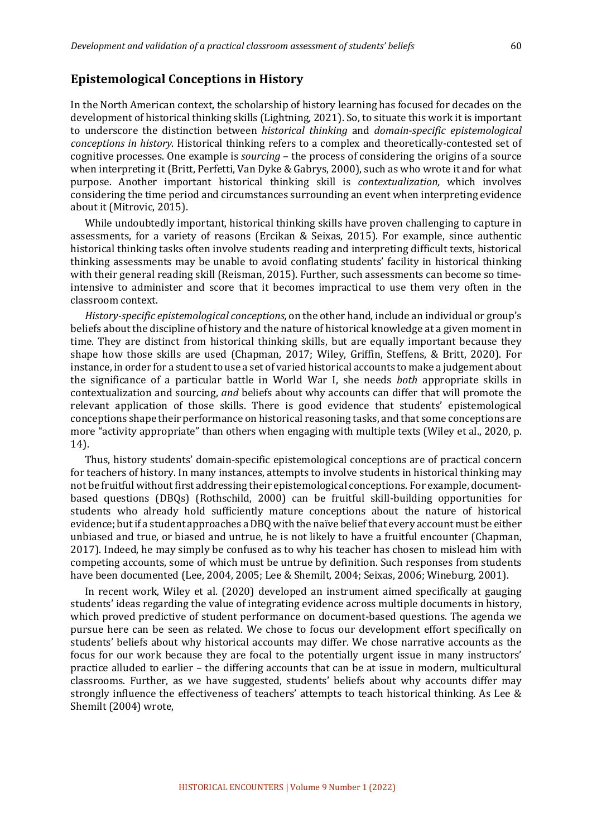## **Epistemological Conceptions in History**

In the North American context, the scholarship of history learning has focused for decades on the development of historical thinking skills (Lightning, 2021). So, to situate this work it is important to underscore the distinction between *historical thinking* and *domain-specific epistemological conceptions in history*. Historical thinking refers to a complex and theoretically-contested set of cognitive processes. One example is *sourcing* – the process of considering the origins of a source when interpreting it (Britt, Perfetti, Van Dyke & Gabrys, 2000), such as who wrote it and for what purpose. Another important historical thinking skill is *contextualization,* which involves considering the time period and circumstances surrounding an event when interpreting evidence about it (Mitrovic, 2015).

While undoubtedly important, historical thinking skills have proven challenging to capture in assessments, for a variety of reasons (Ercikan & Seixas, 2015). For example, since authentic historical thinking tasks often involve students reading and interpreting difficult texts, historical thinking assessments may be unable to avoid conflating students' facility in historical thinking with their general reading skill (Reisman, 2015). Further, such assessments can become so timeintensive to administer and score that it becomes impractical to use them very often in the classroom context.

*History-specific epistemological conceptions,* on the other hand, include an individual or group's beliefs about the discipline of history and the nature of historical knowledge at a given moment in time. They are distinct from historical thinking skills, but are equally important because they shape how those skills are used (Chapman, 2017; Wiley, Griffin, Steffens, & Britt, 2020). For instance, in order for a student to use a set of varied historical accounts to make a judgement about the significance of a particular battle in World War I, she needs *both* appropriate skills in contextualization and sourcing, and beliefs about why accounts can differ that will promote the relevant application of those skills. There is good evidence that students' epistemological conceptions shape their performance on historical reasoning tasks, and that some conceptions are more "activity appropriate" than others when engaging with multiple texts (Wiley et al., 2020, p. 14). 

Thus, history students' domain-specific epistemological conceptions are of practical concern for teachers of history. In many instances, attempts to involve students in historical thinking may not be fruitful without first addressing their epistemological conceptions. For example, documentbased questions (DBQs) (Rothschild, 2000) can be fruitful skill-building opportunities for students who already hold sufficiently mature conceptions about the nature of historical evidence; but if a student approaches a DBQ with the naïve belief that every account must be either unbiased and true, or biased and untrue, he is not likely to have a fruitful encounter (Chapman, 2017). Indeed, he may simply be confused as to why his teacher has chosen to mislead him with competing accounts, some of which must be untrue by definition. Such responses from students have been documented (Lee, 2004, 2005; Lee & Shemilt, 2004; Seixas, 2006; Wineburg, 2001).

In recent work, Wiley et al. (2020) developed an instrument aimed specifically at gauging students' ideas regarding the value of integrating evidence across multiple documents in history, which proved predictive of student performance on document-based questions. The agenda we pursue here can be seen as related. We chose to focus our development effort specifically on students' beliefs about why historical accounts may differ. We chose narrative accounts as the focus for our work because they are focal to the potentially urgent issue in many instructors' practice alluded to earlier – the differing accounts that can be at issue in modern, multicultural classrooms. Further, as we have suggested, students' beliefs about why accounts differ may strongly influence the effectiveness of teachers' attempts to teach historical thinking. As Lee & Shemilt (2004) wrote,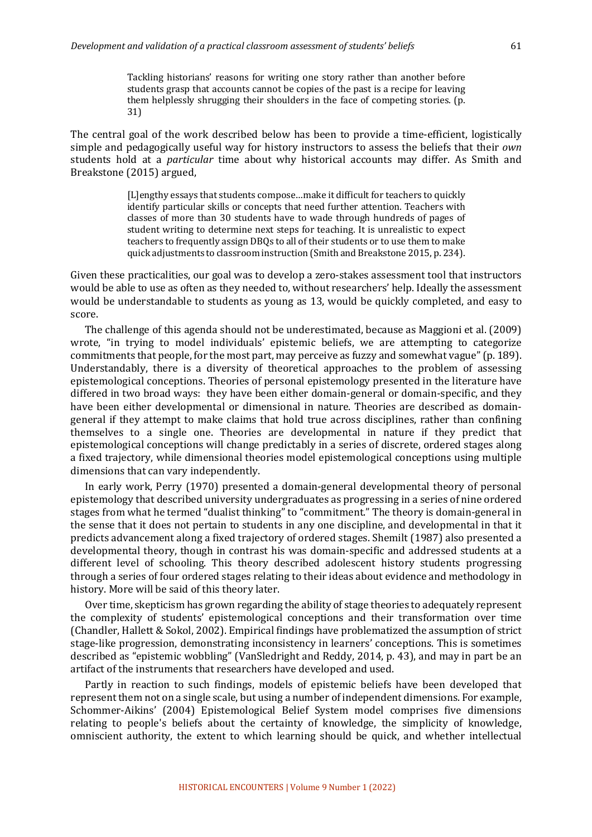Tackling historians' reasons for writing one story rather than another before students grasp that accounts cannot be copies of the past is a recipe for leaving them helplessly shrugging their shoulders in the face of competing stories. (p. 31)

The central goal of the work described below has been to provide a time-efficient, logistically simple and pedagogically useful way for history instructors to assess the beliefs that their *own* students hold at a *particular* time about why historical accounts may differ. As Smith and Breakstone (2015) argued,

> [L]engthy essays that students compose...make it difficult for teachers to quickly identify particular skills or concepts that need further attention. Teachers with classes of more than 30 students have to wade through hundreds of pages of student writing to determine next steps for teaching. It is unrealistic to expect teachers to frequently assign DBQs to all of their students or to use them to make quick adjustments to classroom instruction (Smith and Breakstone 2015, p. 234).

Given these practicalities, our goal was to develop a zero-stakes assessment tool that instructors would be able to use as often as they needed to, without researchers' help. Ideally the assessment would be understandable to students as young as 13, would be quickly completed, and easy to score.

The challenge of this agenda should not be underestimated, because as Maggioni et al. (2009) wrote, "in trying to model individuals' epistemic beliefs, we are attempting to categorize commitments that people, for the most part, may perceive as fuzzy and somewhat vague" (p. 189). Understandably, there is a diversity of theoretical approaches to the problem of assessing epistemological conceptions. Theories of personal epistemology presented in the literature have differed in two broad ways: they have been either domain-general or domain-specific, and they have been either developmental or dimensional in nature. Theories are described as domaingeneral if they attempt to make claims that hold true across disciplines, rather than confining themselves to a single one. Theories are developmental in nature if they predict that epistemological conceptions will change predictably in a series of discrete, ordered stages along a fixed trajectory, while dimensional theories model epistemological conceptions using multiple dimensions that can vary independently.

In early work, Perry (1970) presented a domain-general developmental theory of personal epistemology that described university undergraduates as progressing in a series of nine ordered stages from what he termed "dualist thinking" to "commitment." The theory is domain-general in the sense that it does not pertain to students in any one discipline, and developmental in that it predicts advancement along a fixed trajectory of ordered stages. Shemilt (1987) also presented a developmental theory, though in contrast his was domain-specific and addressed students at a different level of schooling. This theory described adolescent history students progressing through a series of four ordered stages relating to their ideas about evidence and methodology in history. More will be said of this theory later.

Over time, skepticism has grown regarding the ability of stage theories to adequately represent the complexity of students' epistemological conceptions and their transformation over time (Chandler, Hallett & Sokol, 2002). Empirical findings have problematized the assumption of strict stage-like progression, demonstrating inconsistency in learners' conceptions. This is sometimes described as "epistemic wobbling" (VanSledright and Reddy, 2014, p. 43), and may in part be an artifact of the instruments that researchers have developed and used.

Partly in reaction to such findings, models of epistemic beliefs have been developed that represent them not on a single scale, but using a number of independent dimensions. For example, Schommer-Aikins' (2004) Epistemological Belief System model comprises five dimensions relating to people's beliefs about the certainty of knowledge, the simplicity of knowledge, omniscient authority, the extent to which learning should be quick, and whether intellectual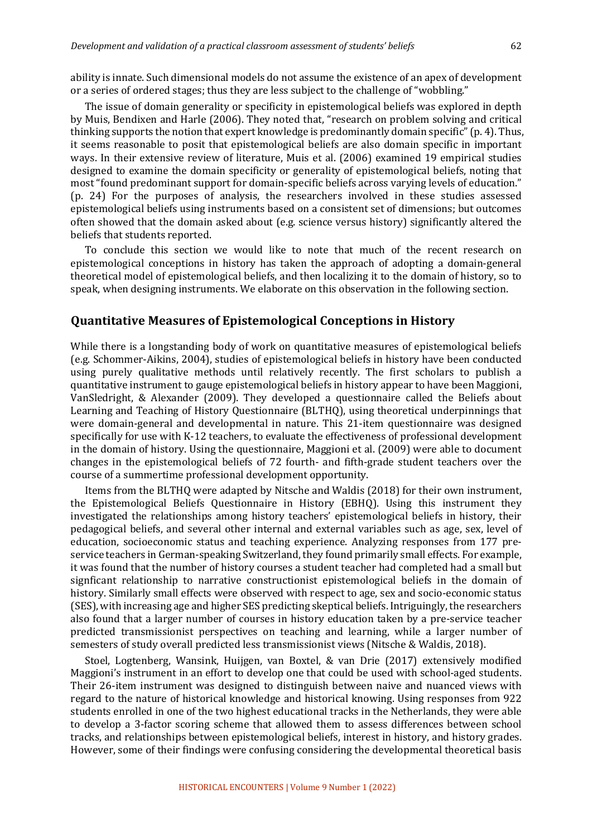ability is innate. Such dimensional models do not assume the existence of an apex of development or a series of ordered stages; thus they are less subject to the challenge of "wobbling."

The issue of domain generality or specificity in epistemological beliefs was explored in depth by Muis, Bendixen and Harle (2006). They noted that, "research on problem solving and critical thinking supports the notion that expert knowledge is predominantly domain specific"  $(p, 4)$ . Thus, it seems reasonable to posit that epistemological beliefs are also domain specific in important ways. In their extensive review of literature, Muis et al. (2006) examined 19 empirical studies designed to examine the domain specificity or generality of epistemological beliefs, noting that most "found predominant support for domain-specific beliefs across varying levels of education." (p. 24) For the purposes of analysis, the researchers involved in these studies assessed epistemological beliefs using instruments based on a consistent set of dimensions; but outcomes often showed that the domain asked about (e.g. science versus history) significantly altered the beliefs that students reported.

To conclude this section we would like to note that much of the recent research on epistemological conceptions in history has taken the approach of adopting a domain-general theoretical model of epistemological beliefs, and then localizing it to the domain of history, so to speak, when designing instruments. We elaborate on this observation in the following section.

## **Quantitative Measures of Epistemological Conceptions in History**

While there is a longstanding body of work on quantitative measures of epistemological beliefs (e.g. Schommer-Aikins, 2004), studies of epistemological beliefs in history have been conducted using purely qualitative methods until relatively recently. The first scholars to publish a quantitative instrument to gauge epistemological beliefs in history appear to have been Maggioni, VanSledright, & Alexander (2009). They developed a questionnaire called the Beliefs about Learning and Teaching of History Questionnaire (BLTHQ), using theoretical underpinnings that were domain-general and developmental in nature. This 21-item questionnaire was designed specifically for use with K-12 teachers, to evaluate the effectiveness of professional development in the domain of history. Using the questionnaire, Maggioni et al. (2009) were able to document changes in the epistemological beliefs of 72 fourth- and fifth-grade student teachers over the course of a summertime professional development opportunity.

Items from the BLTHQ were adapted by Nitsche and Waldis (2018) for their own instrument, the Epistemological Beliefs Questionnaire in History (EBHQ). Using this instrument they investigated the relationships among history teachers' epistemological beliefs in history, their pedagogical beliefs, and several other internal and external variables such as age, sex, level of education, socioeconomic status and teaching experience. Analyzing responses from 177 preservice teachers in German-speaking Switzerland, they found primarily small effects. For example, it was found that the number of history courses a student teacher had completed had a small but signficant relationship to narrative constructionist epistemological beliefs in the domain of history. Similarly small effects were observed with respect to age, sex and socio-economic status (SES), with increasing age and higher SES predicting skeptical beliefs. Intriguingly, the researchers also found that a larger number of courses in history education taken by a pre-service teacher predicted transmissionist perspectives on teaching and learning, while a larger number of semesters of study overall predicted less transmissionist views (Nitsche & Waldis, 2018).

Stoel, Logtenberg, Wansink, Huijgen, van Boxtel, & van Drie (2017) extensively modified Maggioni's instrument in an effort to develop one that could be used with school-aged students. Their 26-item instrument was designed to distinguish between naive and nuanced views with regard to the nature of historical knowledge and historical knowing. Using responses from 922 students enrolled in one of the two highest educational tracks in the Netherlands, they were able to develop a 3-factor scoring scheme that allowed them to assess differences between school tracks, and relationships between epistemological beliefs, interest in history, and history grades. However, some of their findings were confusing considering the developmental theoretical basis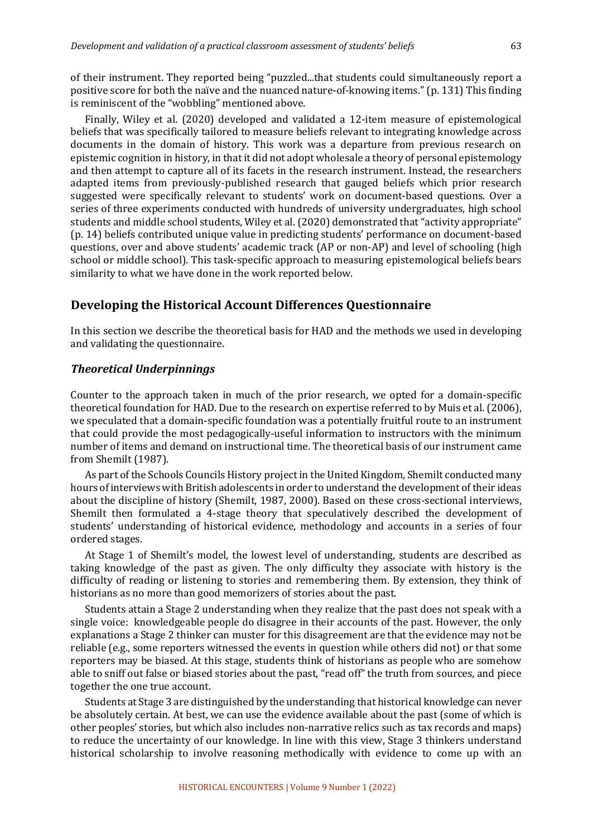of their instrument. They reported being "puzzled...that students could simultaneously report a positive score for both the naïve and the nuanced nature-of-knowing items." (p. 131) This finding is reminiscent of the "wobbling" mentioned above.

Finally, Wiley et al. (2020) developed and validated a 12-item measure of epistemological beliefs that was specifically tailored to measure beliefs relevant to integrating knowledge across documents in the domain of history. This work was a departure from previous research on epistemic cognition in history, in that it did not adopt wholesale a theory of personal epistemology and then attempt to capture all of its facets in the research instrument. Instead, the researchers adapted items from previously-published research that gauged beliefs which prior research suggested were specifically relevant to students' work on document-based questions. Over a series of three experiments conducted with hundreds of university undergraduates, high school students and middle school students, Wiley et al. (2020) demonstrated that "activity appropriate" (p. 14) beliefs contributed unique value in predicting students' performance on document-based questions, over and above students' academic track (AP or non-AP) and level of schooling (high school or middle school). This task-specific approach to measuring epistemological beliefs bears similarity to what we have done in the work reported below.

## **Developing the Historical Account Differences Questionnaire**

In this section we describe the theoretical basis for HAD and the methods we used in developing and validating the questionnaire.

## *Theoretical Underpinnings*

Counter to the approach taken in much of the prior research, we opted for a domain-specific theoretical foundation for HAD. Due to the research on expertise referred to by Muis et al. (2006), we speculated that a domain-specific foundation was a potentially fruitful route to an instrument that could provide the most pedagogically-useful information to instructors with the minimum number of items and demand on instructional time. The theoretical basis of our instrument came from Shemilt (1987).

As part of the Schools Councils History project in the United Kingdom, Shemilt conducted many hours of interviews with British adolescents in order to understand the development of their ideas about the discipline of history (Shemilt, 1987, 2000). Based on these cross-sectional interviews, Shemilt then formulated a 4-stage theory that speculatively described the development of students' understanding of historical evidence, methodology and accounts in a series of four ordered stages.

At Stage 1 of Shemilt's model, the lowest level of understanding, students are described as taking knowledge of the past as given. The only difficulty they associate with history is the difficulty of reading or listening to stories and remembering them. By extension, they think of historians as no more than good memorizers of stories about the past.

Students attain a Stage 2 understanding when they realize that the past does not speak with a single voice: knowledgeable people do disagree in their accounts of the past. However, the only explanations a Stage 2 thinker can muster for this disagreement are that the evidence may not be reliable (e.g., some reporters witnessed the events in question while others did not) or that some reporters may be biased. At this stage, students think of historians as people who are somehow able to sniff out false or biased stories about the past, "read off" the truth from sources, and piece together the one true account.

Students at Stage 3 are distinguished by the understanding that historical knowledge can never be absolutely certain. At best, we can use the evidence available about the past (some of which is other peoples' stories, but which also includes non-narrative relics such as tax records and maps) to reduce the uncertainty of our knowledge. In line with this view, Stage 3 thinkers understand historical scholarship to involve reasoning methodically with evidence to come up with an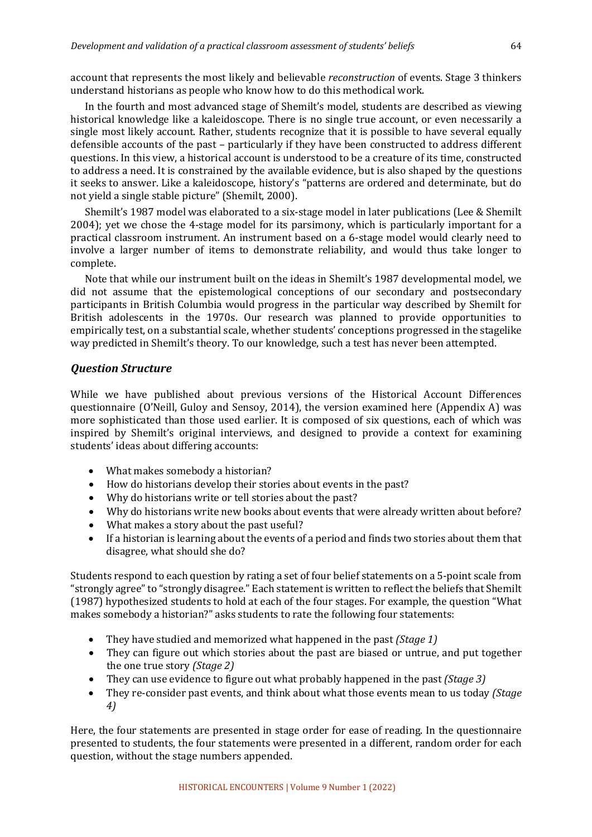account that represents the most likely and believable *reconstruction* of events. Stage 3 thinkers understand historians as people who know how to do this methodical work.

In the fourth and most advanced stage of Shemilt's model, students are described as viewing historical knowledge like a kaleidoscope. There is no single true account, or even necessarily a single most likely account. Rather, students recognize that it is possible to have several equally defensible accounts of the past – particularly if they have been constructed to address different questions. In this view, a historical account is understood to be a creature of its time, constructed to address a need. It is constrained by the available evidence, but is also shaped by the questions it seeks to answer. Like a kaleidoscope, history's "patterns are ordered and determinate, but do not yield a single stable picture" (Shemilt, 2000).

Shemilt's 1987 model was elaborated to a six-stage model in later publications (Lee & Shemilt  $2004$ ); vet we chose the 4-stage model for its parsimony, which is particularly important for a practical classroom instrument. An instrument based on a 6-stage model would clearly need to involve a larger number of items to demonstrate reliability, and would thus take longer to complete.

Note that while our instrument built on the ideas in Shemilt's 1987 developmental model, we did not assume that the epistemological conceptions of our secondary and postsecondary participants in British Columbia would progress in the particular way described by Shemilt for British adolescents in the 1970s. Our research was planned to provide opportunities to empirically test, on a substantial scale, whether students' conceptions progressed in the stagelike way predicted in Shemilt's theory. To our knowledge, such a test has never been attempted.

## *Question Structure*

While we have published about previous versions of the Historical Account Differences questionnaire (O'Neill, Guloy and Sensoy, 2014), the version examined here (Appendix A) was more sophisticated than those used earlier. It is composed of six questions, each of which was inspired by Shemilt's original interviews, and designed to provide a context for examining students' ideas about differing accounts:

- What makes somebody a historian?
- How do historians develop their stories about events in the past?
- Why do historians write or tell stories about the past?
- Why do historians write new books about events that were already written about before?
- What makes a story about the past useful?
- If a historian is learning about the events of a period and finds two stories about them that disagree, what should she do?

Students respond to each question by rating a set of four belief statements on a 5-point scale from "strongly agree" to "strongly disagree." Each statement is written to reflect the beliefs that Shemilt (1987) hypothesized students to hold at each of the four stages. For example, the question "What makes somebody a historian?" asks students to rate the following four statements:

- They have studied and memorized what happened in the past *(Stage 1)*
- They can figure out which stories about the past are biased or untrue, and put together the one true story *(Stage 2)*
- They can use evidence to figure out what probably happened in the past *(Stage 3)*
- They re-consider past events, and think about what those events mean to us today *(Stage*) *4)*

Here, the four statements are presented in stage order for ease of reading. In the questionnaire presented to students, the four statements were presented in a different, random order for each question, without the stage numbers appended.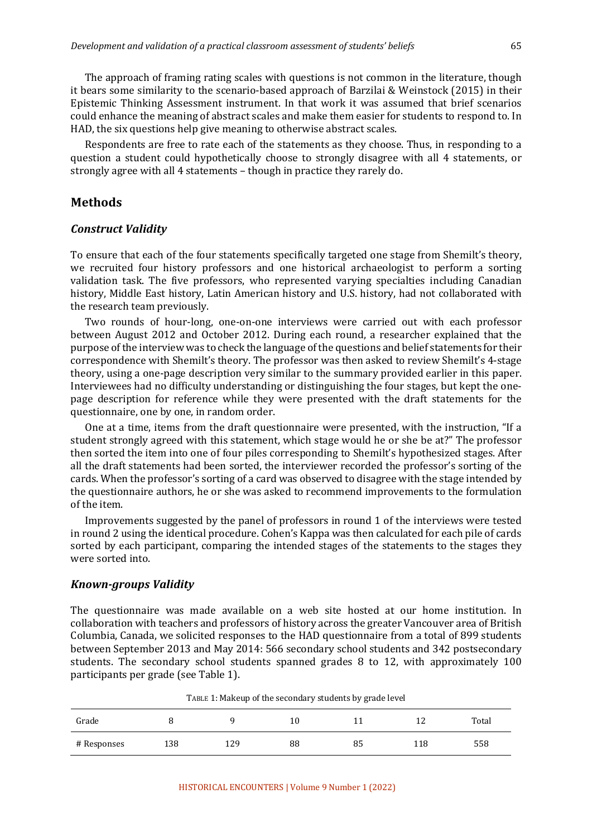The approach of framing rating scales with questions is not common in the literature, though it bears some similarity to the scenario-based approach of Barzilai & Weinstock  $(2015)$  in their Epistemic Thinking Assessment instrument. In that work it was assumed that brief scenarios could enhance the meaning of abstract scales and make them easier for students to respond to. In HAD, the six questions help give meaning to otherwise abstract scales.

Respondents are free to rate each of the statements as they choose. Thus, in responding to a question a student could hypothetically choose to strongly disagree with all 4 statements, or strongly agree with all 4 statements – though in practice they rarely do.

## **Methods**

#### *Construct Validity*

To ensure that each of the four statements specifically targeted one stage from Shemilt's theory, we recruited four history professors and one historical archaeologist to perform a sorting validation task. The five professors, who represented varying specialties including Canadian history, Middle East history, Latin American history and U.S. history, had not collaborated with the research team previously.

Two rounds of hour-long, one-on-one interviews were carried out with each professor between August 2012 and October 2012. During each round, a researcher explained that the purpose of the interview was to check the language of the questions and belief statements for their correspondence with Shemilt's theory. The professor was then asked to review Shemilt's 4-stage theory, using a one-page description very similar to the summary provided earlier in this paper. Interviewees had no difficulty understanding or distinguishing the four stages, but kept the onepage description for reference while they were presented with the draft statements for the questionnaire, one by one, in random order.

One at a time, items from the draft questionnaire were presented, with the instruction, "If a student strongly agreed with this statement, which stage would he or she be at?" The professor then sorted the item into one of four piles corresponding to Shemilt's hypothesized stages. After all the draft statements had been sorted, the interviewer recorded the professor's sorting of the cards. When the professor's sorting of a card was observed to disagree with the stage intended by the questionnaire authors, he or she was asked to recommend improvements to the formulation of the item.

Improvements suggested by the panel of professors in round 1 of the interviews were tested in round 2 using the identical procedure. Cohen's Kappa was then calculated for each pile of cards sorted by each participant, comparing the intended stages of the statements to the stages they were sorted into.

## *Known-groups Validity*

The questionnaire was made available on a web site hosted at our home institution. In collaboration with teachers and professors of history across the greater Vancouver area of British Columbia, Canada, we solicited responses to the HAD questionnaire from a total of 899 students between September 2013 and May 2014: 566 secondary school students and 342 postsecondary students. The secondary school students spanned grades 8 to 12, with approximately 100 participants per grade (see Table 1).

| TABLE 1: Makeup of the secondary students by grade level |     |     |    |    |     |       |  |
|----------------------------------------------------------|-----|-----|----|----|-----|-------|--|
| Grade                                                    |     |     | 10 |    |     | Total |  |
| # Responses                                              | 138 | 129 | 88 | 85 | 118 | 558   |  |

TABLE 1: Makeup of the secondary students by grade level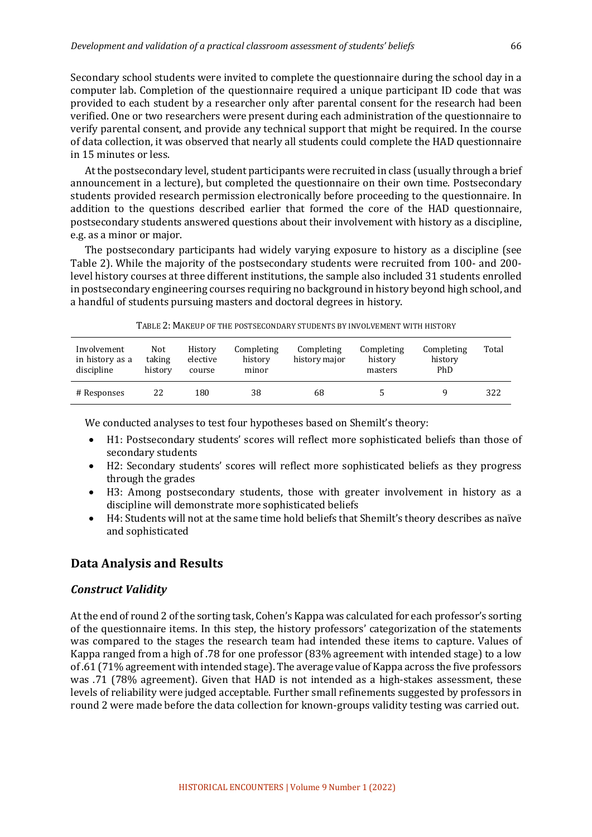Secondary school students were invited to complete the questionnaire during the school day in a computer lab. Completion of the questionnaire required a unique participant ID code that was provided to each student by a researcher only after parental consent for the research had been verified. One or two researchers were present during each administration of the questionnaire to verify parental consent, and provide any technical support that might be required. In the course of data collection, it was observed that nearly all students could complete the HAD questionnaire in 15 minutes or less.

At the postsecondary level, student participants were recruited in class (usually through a brief announcement in a lecture), but completed the questionnaire on their own time. Postsecondary students provided research permission electronically before proceeding to the questionnaire. In addition to the questions described earlier that formed the core of the HAD questionnaire, postsecondary students answered questions about their involvement with history as a discipline, e.g. as a minor or major.

The postsecondary participants had widely varying exposure to history as a discipline (see Table 2). While the majority of the postsecondary students were recruited from 100- and 200level history courses at three different institutions, the sample also included 31 students enrolled in postsecondary engineering courses requiring no background in history beyond high school, and a handful of students pursuing masters and doctoral degrees in history.

|  |  |  | TABLE 2: MAKEUP OF THE POSTSECONDARY STUDENTS BY INVOLVEMENT WITH HISTORY |
|--|--|--|---------------------------------------------------------------------------|
|--|--|--|---------------------------------------------------------------------------|

| Involvement<br>in history as a<br>discipline | Not<br>taking<br>history | History<br>elective<br>course | Completing<br>history<br>minor | Completing<br>history major | Completing<br>history<br>masters | Completing<br>history<br>PhD | Total |
|----------------------------------------------|--------------------------|-------------------------------|--------------------------------|-----------------------------|----------------------------------|------------------------------|-------|
| # Responses                                  | 22                       | 180                           | 38                             | 68                          |                                  |                              | 322   |

We conducted analyses to test four hypotheses based on Shemilt's theory:

- H1: Postsecondary students' scores will reflect more sophisticated beliefs than those of secondary students
- H2: Secondary students' scores will reflect more sophisticated beliefs as they progress through the grades
- H3: Among postsecondary students, those with greater involvement in history as a discipline will demonstrate more sophisticated beliefs
- H4: Students will not at the same time hold beliefs that Shemilt's theory describes as naïve and sophisticated

## **Data Analysis and Results**

#### *Construct Validity*

At the end of round 2 of the sorting task, Cohen's Kappa was calculated for each professor's sorting of the questionnaire items. In this step, the history professors' categorization of the statements was compared to the stages the research team had intended these items to capture. Values of Kappa ranged from a high of .78 for one professor (83% agreement with intended stage) to a low of .61 (71% agreement with intended stage). The average value of Kappa across the five professors was .71 (78% agreement). Given that HAD is not intended as a high-stakes assessment, these levels of reliability were judged acceptable. Further small refinements suggested by professors in round 2 were made before the data collection for known-groups validity testing was carried out.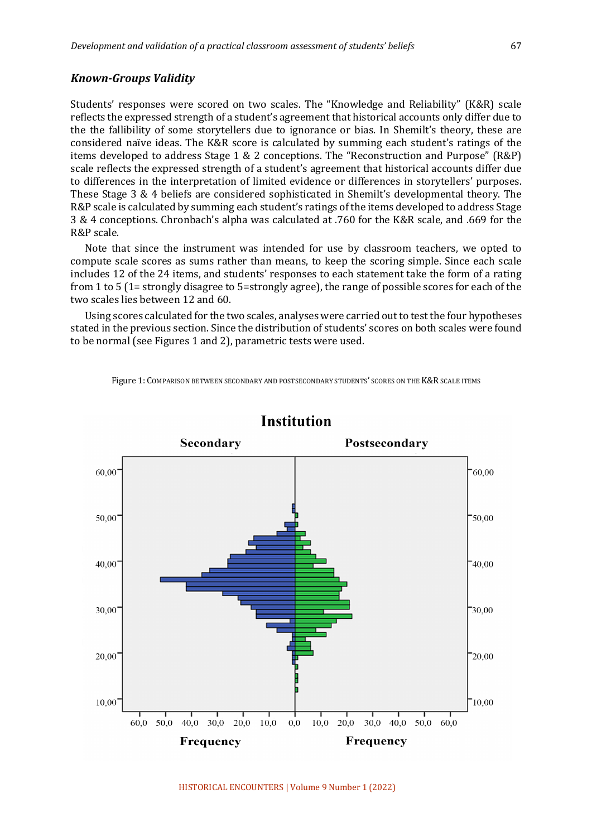#### *Known-Groups Validity*

Students' responses were scored on two scales. The "Knowledge and Reliability" (K&R) scale reflects the expressed strength of a student's agreement that historical accounts only differ due to the the fallibility of some storytellers due to ignorance or bias. In Shemilt's theory, these are considered naïve ideas. The K&R score is calculated by summing each student's ratings of the items developed to address Stage 1 & 2 conceptions. The "Reconstruction and Purpose" (R&P) scale reflects the expressed strength of a student's agreement that historical accounts differ due to differences in the interpretation of limited evidence or differences in storytellers' purposes. These Stage 3 & 4 beliefs are considered sophisticated in Shemilt's developmental theory. The R&P scale is calculated by summing each student's ratings of the items developed to address Stage 3 & 4 conceptions. Chronbach's alpha was calculated at .760 for the K&R scale, and .669 for the R&P scale.

Note that since the instrument was intended for use by classroom teachers, we opted to compute scale scores as sums rather than means, to keep the scoring simple. Since each scale includes 12 of the 24 items, and students' responses to each statement take the form of a rating from 1 to 5 (1= strongly disagree to 5=strongly agree), the range of possible scores for each of the two scales lies between 12 and 60.

Using scores calculated for the two scales, analyses were carried out to test the four hypotheses stated in the previous section. Since the distribution of students' scores on both scales were found to be normal (see Figures 1 and 2), parametric tests were used.

Figure 1: COMPARISON BETWEEN SECONDARY AND POSTSECONDARY STUDENTS' SCORES ON THE K&R SCALE ITEMS



# **Institution**

HISTORICAL ENCOUNTERS | Volume 9 Number 1 (2022)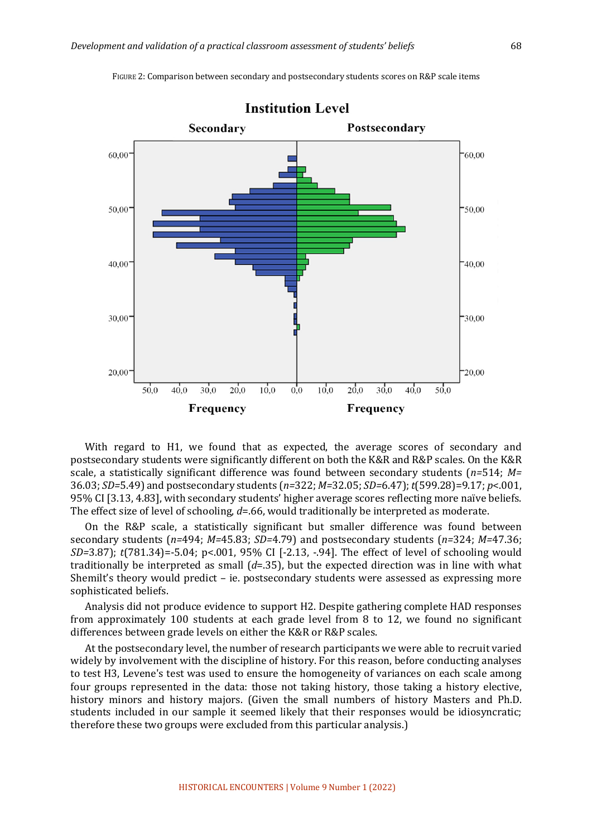

FIGURE 2: Comparison between secondary and postsecondary students scores on R&P scale items

With regard to H1, we found that as expected, the average scores of secondary and postsecondary students were significantly different on both the K&R and R&P scales. On the K&R scale, a statistically significant difference was found between secondary students (*n*=514; *M*= 36.03; *SD=*5.49) and postsecondary students (*n=*322; *M=*32.05; *SD=*6.47); *t*(599.28)=9.17; *p*<.001, 95% CI [3.13, 4.83], with secondary students' higher average scores reflecting more naïve beliefs. The effect size of level of schooling,  $d = 0.66$ , would traditionally be interpreted as moderate.

On the R&P scale, a statistically significant but smaller difference was found between secondary students (*n*=494; *M*=45.83; *SD*=4.79) and postsecondary students (*n*=324; *M*=47.36; *SD*=3.87); *t*(781.34)=-5.04; *p*<.001, 95% CI [-2.13, -.94]. The effect of level of schooling would traditionally be interpreted as small  $(d=0.35)$ , but the expected direction was in line with what Shemilt's theory would predict  $-$  ie. postsecondary students were assessed as expressing more sophisticated beliefs.

Analysis did not produce evidence to support H2. Despite gathering complete HAD responses from approximately 100 students at each grade level from 8 to 12, we found no significant differences between grade levels on either the K&R or R&P scales.

At the postsecondary level, the number of research participants we were able to recruit varied widely by involvement with the discipline of history. For this reason, before conducting analyses to test H3, Levene's test was used to ensure the homogeneity of variances on each scale among four groups represented in the data: those not taking history, those taking a history elective, history minors and history majors. (Given the small numbers of history Masters and Ph.D. students included in our sample it seemed likely that their responses would be idiosyncratic; therefore these two groups were excluded from this particular analysis.)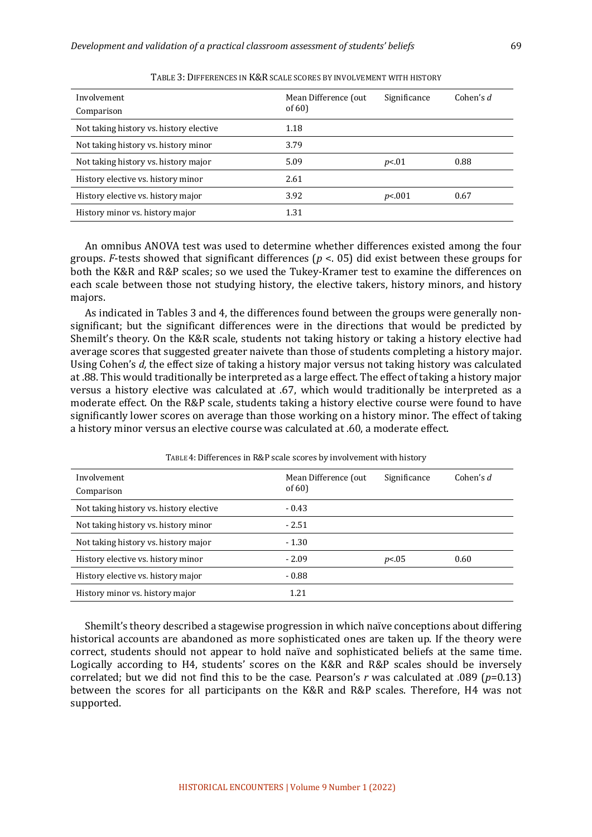| Involvement<br>Comparison               | Mean Difference (out<br>of $60$ | Significance | Cohen's $d$ |
|-----------------------------------------|---------------------------------|--------------|-------------|
| Not taking history vs. history elective | 1.18                            |              |             |
| Not taking history vs. history minor    | 3.79                            |              |             |
| Not taking history vs. history major    | 5.09                            | p<.01        | 0.88        |
| History elective vs. history minor      | 2.61                            |              |             |
| History elective vs. history major      | 3.92                            | p<.001       | 0.67        |
| History minor vs. history major         | 1.31                            |              |             |

TABLE 3: DIFFERENCES IN K&R SCALE SCORES BY INVOLVEMENT WITH HISTORY

An omnibus ANOVA test was used to determine whether differences existed among the four groups. *F*-tests showed that significant differences ( $p < 0.05$ ) did exist between these groups for both the K&R and R&P scales; so we used the Tukey-Kramer test to examine the differences on each scale between those not studying history, the elective takers, history minors, and history majors. 

As indicated in Tables 3 and 4, the differences found between the groups were generally nonsignificant; but the significant differences were in the directions that would be predicted by Shemilt's theory. On the K&R scale, students not taking history or taking a history elective had average scores that suggested greater naivete than those of students completing a history major. Using Cohen's *d*, the effect size of taking a history major versus not taking history was calculated at .88. This would traditionally be interpreted as a large effect. The effect of taking a history major versus a history elective was calculated at .67, which would traditionally be interpreted as a moderate effect. On the R&P scale, students taking a history elective course were found to have significantly lower scores on average than those working on a history minor. The effect of taking a history minor versus an elective course was calculated at .60, a moderate effect.

| Involvement<br>Comparison               | Mean Difference (out<br>of $60$ | Significance | Cohen's $d$ |
|-----------------------------------------|---------------------------------|--------------|-------------|
| Not taking history vs. history elective | $-0.43$                         |              |             |
| Not taking history vs. history minor    | $-2.51$                         |              |             |
| Not taking history vs. history major    | $-1.30$                         |              |             |
| History elective vs. history minor      | $-2.09$                         | p<.05        | 0.60        |
| History elective vs. history major      | $-0.88$                         |              |             |
| History minor vs. history major         | 1.21                            |              |             |

TABLE 4: Differences in R&P scale scores by involvement with history

Shemilt's theory described a stagewise progression in which naïve conceptions about differing historical accounts are abandoned as more sophisticated ones are taken up. If the theory were correct, students should not appear to hold naïve and sophisticated beliefs at the same time. Logically according to H4, students' scores on the K&R and R&P scales should be inversely correlated; but we did not find this to be the case. Pearson's *r* was calculated at .089 ( $p=0.13$ ) between the scores for all participants on the K&R and R&P scales. Therefore, H4 was not supported.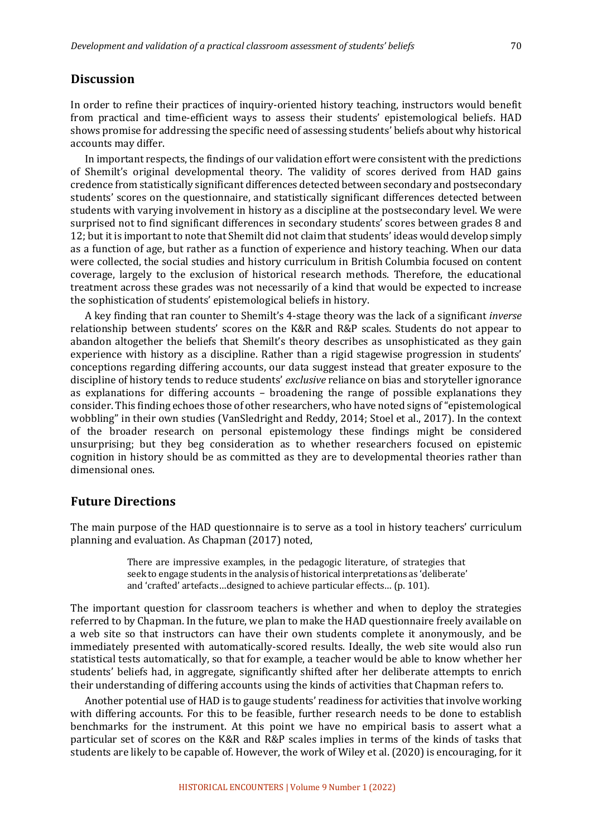## **Discussion**

In order to refine their practices of inquiry-oriented history teaching, instructors would benefit from practical and time-efficient ways to assess their students' epistemological beliefs. HAD shows promise for addressing the specific need of assessing students' beliefs about why historical accounts may differ.

In important respects, the findings of our validation effort were consistent with the predictions of Shemilt's original developmental theory. The validity of scores derived from HAD gains credence from statistically significant differences detected between secondary and postsecondary students' scores on the questionnaire, and statistically significant differences detected between students with varying involvement in history as a discipline at the postsecondary level. We were surprised not to find significant differences in secondary students' scores between grades 8 and 12; but it is important to note that Shemilt did not claim that students' ideas would develop simply as a function of age, but rather as a function of experience and history teaching. When our data were collected, the social studies and history curriculum in British Columbia focused on content coverage, largely to the exclusion of historical research methods. Therefore, the educational treatment across these grades was not necessarily of a kind that would be expected to increase the sophistication of students' epistemological beliefs in history.

A key finding that ran counter to Shemilt's 4-stage theory was the lack of a significant *inverse* relationship between students' scores on the K&R and R&P scales. Students do not appear to abandon altogether the beliefs that Shemilt's theory describes as unsophisticated as they gain experience with history as a discipline. Rather than a rigid stagewise progression in students' conceptions regarding differing accounts, our data suggest instead that greater exposure to the discipline of history tends to reduce students' *exclusive* reliance on bias and storyteller ignorance as explanations for differing accounts  $-$  broadening the range of possible explanations they consider. This finding echoes those of other researchers, who have noted signs of "epistemological wobbling" in their own studies (VanSledright and Reddy, 2014; Stoel et al., 2017). In the context of the broader research on personal epistemology these findings might be considered unsurprising; but they beg consideration as to whether researchers focused on epistemic cognition in history should be as committed as they are to developmental theories rather than dimensional ones.

## **Future Directions**

The main purpose of the HAD questionnaire is to serve as a tool in history teachers' curriculum planning and evaluation. As Chapman (2017) noted,

> There are impressive examples, in the pedagogic literature, of strategies that seek to engage students in the analysis of historical interpretations as 'deliberate' and 'crafted' artefacts...designed to achieve particular effects... (p. 101).

The important question for classroom teachers is whether and when to deploy the strategies referred to by Chapman. In the future, we plan to make the HAD questionnaire freely available on a web site so that instructors can have their own students complete it anonymously, and be immediately presented with automatically-scored results. Ideally, the web site would also run statistical tests automatically, so that for example, a teacher would be able to know whether her students' beliefs had, in aggregate, significantly shifted after her deliberate attempts to enrich their understanding of differing accounts using the kinds of activities that Chapman refers to.

Another potential use of HAD is to gauge students' readiness for activities that involve working with differing accounts. For this to be feasible, further research needs to be done to establish benchmarks for the instrument. At this point we have no empirical basis to assert what a particular set of scores on the K&R and R&P scales implies in terms of the kinds of tasks that students are likely to be capable of. However, the work of Wiley et al. (2020) is encouraging, for it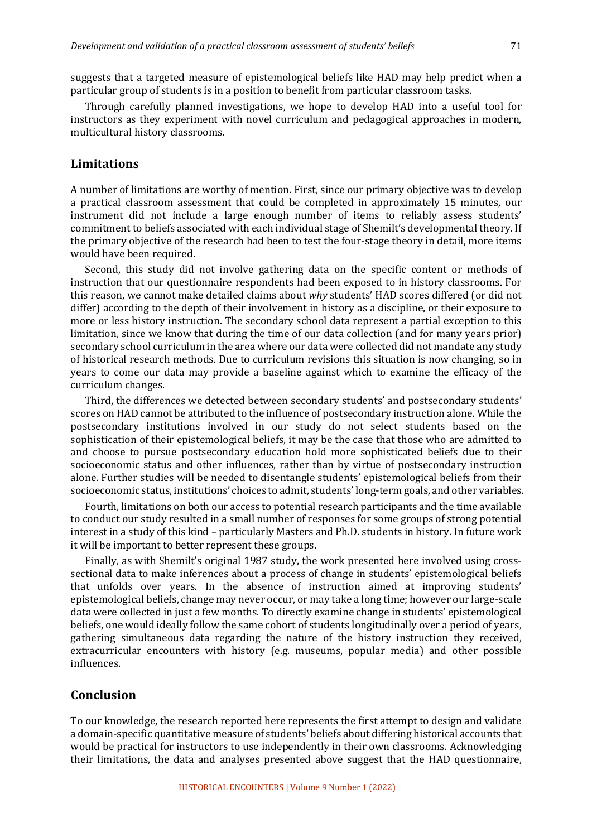suggests that a targeted measure of epistemological beliefs like HAD may help predict when a particular group of students is in a position to benefit from particular classroom tasks.

Through carefully planned investigations, we hope to develop HAD into a useful tool for instructors as they experiment with novel curriculum and pedagogical approaches in modern, multicultural history classrooms.

## **Limitations**

A number of limitations are worthy of mention. First, since our primary objective was to develop a practical classroom assessment that could be completed in approximately 15 minutes, our instrument did not include a large enough number of items to reliably assess students' commitment to beliefs associated with each individual stage of Shemilt's developmental theory. If the primary objective of the research had been to test the four-stage theory in detail, more items would have been required.

Second, this study did not involve gathering data on the specific content or methods of instruction that our questionnaire respondents had been exposed to in history classrooms. For this reason, we cannot make detailed claims about why students' HAD scores differed (or did not differ) according to the depth of their involvement in history as a discipline, or their exposure to more or less history instruction. The secondary school data represent a partial exception to this limitation, since we know that during the time of our data collection (and for many years prior) secondary school curriculum in the area where our data were collected did not mandate any study of historical research methods. Due to curriculum revisions this situation is now changing, so in years to come our data may provide a baseline against which to examine the efficacy of the curriculum changes.

Third, the differences we detected between secondary students' and postsecondary students' scores on HAD cannot be attributed to the influence of postsecondary instruction alone. While the postsecondary institutions involved in our study do not select students based on the sophistication of their epistemological beliefs, it may be the case that those who are admitted to and choose to pursue postsecondary education hold more sophisticated beliefs due to their socioeconomic status and other influences, rather than by virtue of postsecondary instruction alone. Further studies will be needed to disentangle students' epistemological beliefs from their socioeconomic status, institutions' choices to admit, students' long-term goals, and other variables.

Fourth, limitations on both our access to potential research participants and the time available to conduct our study resulted in a small number of responses for some groups of strong potential interest in a study of this kind – particularly Masters and Ph.D. students in history. In future work it will be important to better represent these groups.

Finally, as with Shemilt's original 1987 study, the work presented here involved using crosssectional data to make inferences about a process of change in students' epistemological beliefs that unfolds over years. In the absence of instruction aimed at improving students' epistemological beliefs, change may never occur, or may take a long time; however our large-scale data were collected in just a few months. To directly examine change in students' epistemological beliefs, one would ideally follow the same cohort of students longitudinally over a period of years, gathering simultaneous data regarding the nature of the history instruction they received, extracurricular encounters with history (e.g. museums, popular media) and other possible influences. 

## **Conclusion**

To our knowledge, the research reported here represents the first attempt to design and validate a domain-specific quantitative measure of students' beliefs about differing historical accounts that would be practical for instructors to use independently in their own classrooms. Acknowledging their limitations, the data and analyses presented above suggest that the HAD questionnaire,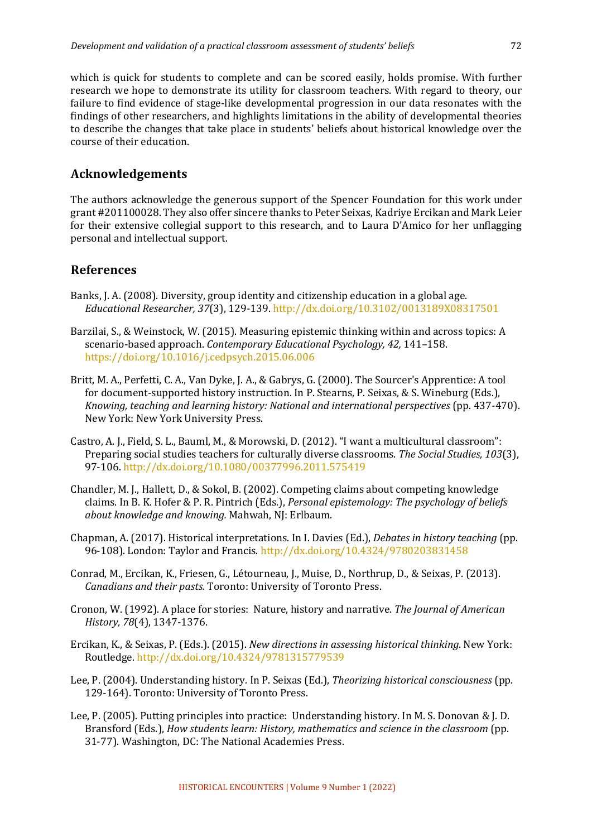which is quick for students to complete and can be scored easily, holds promise. With further research we hope to demonstrate its utility for classroom teachers. With regard to theory, our failure to find evidence of stage-like developmental progression in our data resonates with the findings of other researchers, and highlights limitations in the ability of developmental theories to describe the changes that take place in students' beliefs about historical knowledge over the course of their education.

## **Acknowledgements**

The authors acknowledge the generous support of the Spencer Foundation for this work under grant #201100028. They also offer sincere thanks to Peter Seixas, Kadriye Ercikan and Mark Leier for their extensive collegial support to this research, and to Laura D'Amico for her unflagging personal and intellectual support.

## **References**

- Banks, J. A. (2008). Diversity, group identity and citizenship education in a global age. *Educational Researcher, 37*(3), 129-139. http://dx.doi.org/10.3102/0013189X08317501
- Barzilai, S., & Weinstock, W. (2015). Measuring epistemic thinking within and across topics: A scenario-based approach. *Contemporary Educational Psychology*, 42, 141-158. https://doi.org/10.1016/j.cedpsych.2015.06.006
- Britt, M. A., Perfetti, C. A., Van Dyke, J. A., & Gabrys, G. (2000). The Sourcer's Apprentice: A tool for document-supported history instruction. In P. Stearns, P. Seixas, & S. Wineburg (Eds.), *Knowing, teaching and learning history: National and international perspectives* (pp. 437-470). New York: New York University Press.
- Castro, A. J., Field, S. L., Bauml, M., & Morowski, D. (2012). "I want a multicultural classroom": Preparing social studies teachers for culturally diverse classrooms. *The Social Studies, 103*(3), 97-106. http://dx.doi.org/10.1080/00377996.2011.575419
- Chandler, M. J., Hallett, D., & Sokol, B. (2002). Competing claims about competing knowledge claims. In B. K. Hofer & P. R. Pintrich (Eds.), *Personal epistemology: The psychology of beliefs about knowledge and knowing.* Mahwah, NJ: Erlbaum.
- Chapman, A. (2017). Historical interpretations. In I. Davies (Ed.), *Debates in history teaching* (pp. 96-108). London: Taylor and Francis. http://dx.doi.org/10.4324/9780203831458
- Conrad, M., Ercikan, K., Friesen, G., Létourneau, J., Muise, D., Northrup, D., & Seixas, P. (2013). *Canadians and their pasts.* Toronto: University of Toronto Press.
- Cronon, W. (1992). A place for stories: Nature, history and narrative. The Journal of American *History, 78*(4), 1347-1376.
- Ercikan, K., & Seixas, P. (Eds.). (2015). *New directions in assessing historical thinking*. New York: Routledge. http://dx.doi.org/10.4324/9781315779539
- Lee, P. (2004). Understanding history. In P. Seixas (Ed.), *Theorizing historical consciousness* (pp. 129-164). Toronto: University of Toronto Press.
- Lee, P. (2005). Putting principles into practice: Understanding history. In M. S. Donovan & J. D. Bransford (Eds.), *How students learn: History, mathematics and science in the classroom* (pp. 31-77). Washington, DC: The National Academies Press.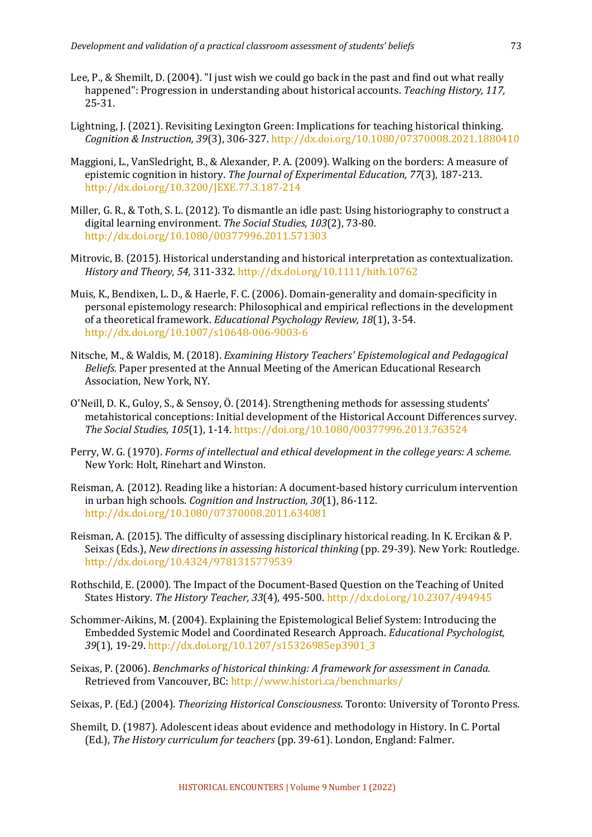- Lee, P., & Shemilt, D. (2004). "I just wish we could go back in the past and find out what really happened": Progression in understanding about historical accounts. *Teaching History, 117,* 25-31.
- Lightning, J. (2021). Revisiting Lexington Green: Implications for teaching historical thinking. *Cognition & Instruction, 39*(3), 306-327. http://dx.doi.org/10.1080/07370008.2021.1880410
- Maggioni, L., VanSledright, B., & Alexander, P. A. (2009). Walking on the borders: A measure of epistemic cognition in history. The Journal of Experimental Education, 77(3), 187-213. http://dx.doi.org/10.3200/JEXE.77.3.187-214
- Miller, G. R., & Toth, S. L. (2012). To dismantle an idle past: Using historiography to construct a digital learning environment. The Social Studies, 103(2), 73-80. http://dx.doi.org/10.1080/00377996.2011.571303
- Mitrovic, B. (2015). Historical understanding and historical interpretation as contextualization. *History and Theory, 54,* 311-332. http://dx.doi.org/10.1111/hith.10762
- Muis, K., Bendixen, L. D., & Haerle, F. C. (2006). Domain-generality and domain-specificity in personal epistemology research: Philosophical and empirical reflections in the development of a theoretical framework. *Educational Psychology Review, 18*(1), 3-54. http://dx.doi.org/10.1007/s10648-006-9003-6
- Nitsche, M., & Waldis, M. (2018). *Examining History Teachers' Epistemological and Pedagogical Beliefs.* Paper presented at the Annual Meeting of the American Educational Research Association, New York, NY.
- O'Neill, D. K., Guloy, S., & Sensoy, Ö. (2014). Strengthening methods for assessing students' metahistorical conceptions: Initial development of the Historical Account Differences survey. *The Social Studies, 105*(1), 1-14. https://doi.org/10.1080/00377996.2013.763524
- Perry, W. G. (1970). *Forms of intellectual and ethical development in the college vears: A scheme.* New York: Holt, Rinehart and Winston.
- Reisman, A. (2012). Reading like a historian: A document-based history curriculum intervention in urban high schools. *Cognition and Instruction*, 30(1), 86-112. http://dx.doi.org/10.1080/07370008.2011.634081
- Reisman, A. (2015). The difficulty of assessing disciplinary historical reading. In K. Ercikan & P. Seixas (Eds.), *New directions in assessing historical thinking* (pp. 29-39). New York: Routledge. http://dx.doi.org/10.4324/9781315779539
- Rothschild, E. (2000). The Impact of the Document-Based Ouestion on the Teaching of United States History. *The History Teacher, 33*(4), 495-500. http://dx.doi.org/10.2307/494945
- Schommer-Aikins, M. (2004). Explaining the Epistemological Belief System: Introducing the Embedded Systemic Model and Coordinated Research Approach. *Educational Psychologist*, 39(1), 19-29. http://dx.doi.org/10.1207/s15326985ep3901\_3
- Seixas, P. (2006). *Benchmarks of historical thinking: A framework for assessment in Canada.* Retrieved from Vancouver, BC: http://www.histori.ca/benchmarks/
- Seixas, P. (Ed.) (2004). *Theorizing Historical Consciousness*. Toronto: University of Toronto Press.
- Shemilt, D. (1987). Adolescent ideas about evidence and methodology in History. In C. Portal (Ed.), *The History curriculum for teachers* (pp. 39-61). London, England: Falmer.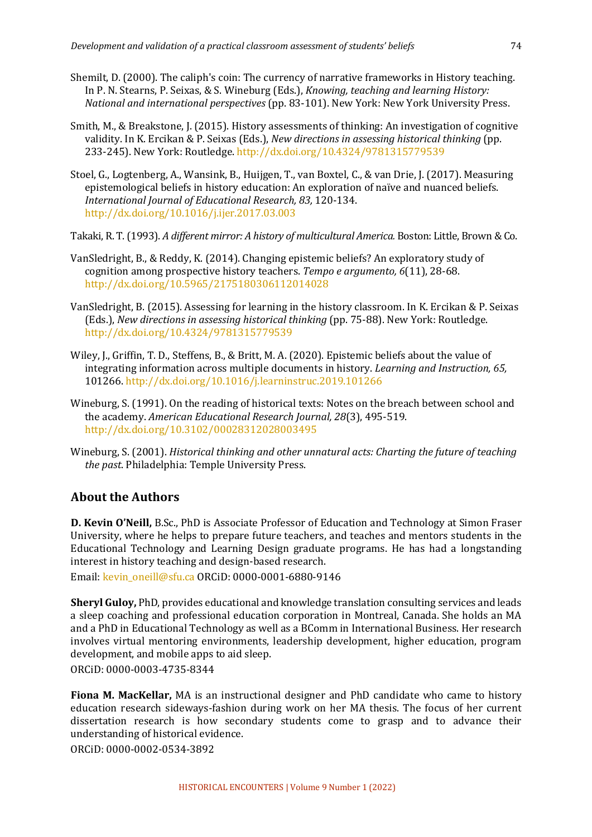- Shemilt, D. (2000). The caliph's coin: The currency of narrative frameworks in History teaching. In P. N. Stearns, P. Seixas, & S. Wineburg (Eds.), *Knowing, teaching and learning History: National and international perspectives* (pp. 83-101). New York: New York University Press.
- Smith, M., & Breakstone, J. (2015). History assessments of thinking: An investigation of cognitive validity. In K. Ercikan & P. Seixas (Eds.), *New directions in assessing historical thinking* (pp. 233-245). New York: Routledge. http://dx.doi.org/10.4324/9781315779539
- Stoel, G., Logtenberg, A., Wansink, B., Huijgen, T., van Boxtel, C., & van Drie, J. (2017). Measuring epistemological beliefs in history education: An exploration of naïve and nuanced beliefs. *International Journal of Educational Research, 83,* 120-134. http://dx.doi.org/10.1016/j.ijer.2017.03.003

Takaki, R. T. (1993). *A different mirror: A history of multicultural America.* Boston: Little, Brown & Co.

- VanSledright, B., & Reddy, K. (2014). Changing epistemic beliefs? An exploratory study of cognition among prospective history teachers. Tempo e argumento, 6(11), 28-68. http://dx.doi.org/10.5965/2175180306112014028
- VanSledright, B. (2015). Assessing for learning in the history classroom. In K. Ercikan & P. Seixas (Eds.), *New directions in assessing historical thinking* (pp. 75-88). New York: Routledge. http://dx.doi.org/10.4324/9781315779539
- Wiley, J., Griffin, T. D., Steffens, B., & Britt, M. A. (2020). Epistemic beliefs about the value of integrating information across multiple documents in history. *Learning and Instruction, 65,* 101266. http://dx.doi.org/10.1016/j.learninstruc.2019.101266
- Wineburg, S. (1991). On the reading of historical texts: Notes on the breach between school and the academy. American Educational Research Journal, 28(3), 495-519. http://dx.doi.org/10.3102/00028312028003495
- Wineburg, S. (2001). *Historical thinking and other unnatural acts: Charting the future of teaching the past*. Philadelphia: Temple University Press.

## **About the Authors**

**D. Kevin O'Neill,** B.Sc., PhD is Associate Professor of Education and Technology at Simon Fraser University, where he helps to prepare future teachers, and teaches and mentors students in the Educational Technology and Learning Design graduate programs. He has had a longstanding interest in history teaching and design-based research.

Email: kevin\_oneill@sfu.ca ORCiD: 0000-0001-6880-9146

**Sheryl Guloy,** PhD, provides educational and knowledge translation consulting services and leads a sleep coaching and professional education corporation in Montreal, Canada. She holds an MA and a PhD in Educational Technology as well as a BComm in International Business. Her research involves virtual mentoring environments, leadership development, higher education, program development, and mobile apps to aid sleep.

ORCiD: 0000-0003-4735-8344

**Fiona M. MacKellar,** MA is an instructional designer and PhD candidate who came to history education research sideways-fashion during work on her MA thesis. The focus of her current dissertation research is how secondary students come to grasp and to advance their understanding of historical evidence.

ORCiD: 0000-0002-0534-3892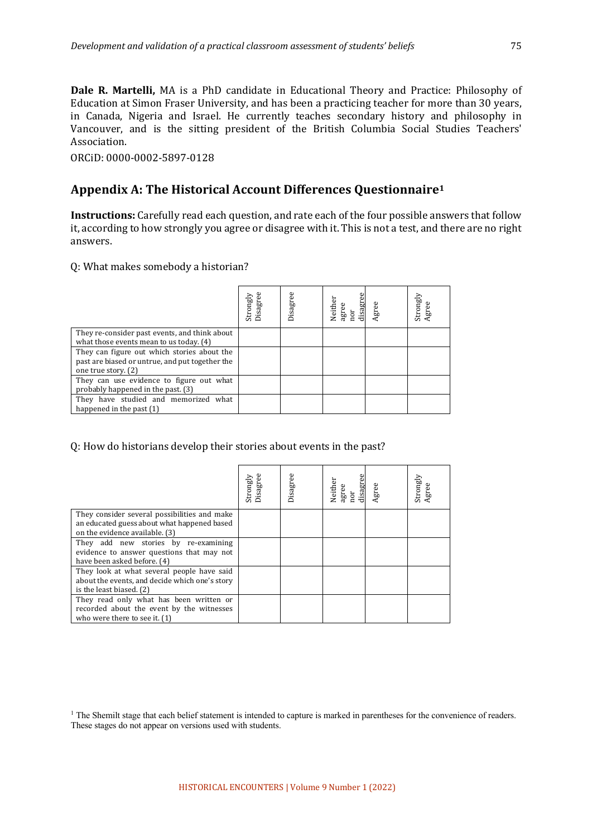**Dale R. Martelli,** MA is a PhD candidate in Educational Theory and Practice: Philosophy of Education at Simon Fraser University, and has been a practicing teacher for more than 30 years, in Canada, Nigeria and Israel. He currently teaches secondary history and philosophy in Vancouver, and is the sitting president of the British Columbia Social Studies Teachers' Association. 

ORCiD: 0000-0002-5897-0128

# Appendix A: The Historical Account Differences Questionnaire<sup>1</sup>

**Instructions:** Carefully read each question, and rate each of the four possible answers that follow it, according to how strongly you agree or disagree with it. This is not a test, and there are no right answers.

Q: What makes somebody a historian?

|                                                                                                                       | Strongly<br>Disagree | Disagree | disagre<br>Neither<br>agree | Agree | Strongly<br>Agree |
|-----------------------------------------------------------------------------------------------------------------------|----------------------|----------|-----------------------------|-------|-------------------|
| They re-consider past events, and think about<br>what those events mean to us today. (4)                              |                      |          |                             |       |                   |
| They can figure out which stories about the<br>past are biased or untrue, and put together the<br>one true story. (2) |                      |          |                             |       |                   |
| They can use evidence to figure out what<br>probably happened in the past. (3)                                        |                      |          |                             |       |                   |
| They have studied and memorized what<br>happened in the past $(1)$                                                    |                      |          |                             |       |                   |

## Q: How do historians develop their stories about events in the past?

|                                                | Strongly<br>Disagro | Disagree | agree<br>nor<br>disagree<br>Neither | Agree | Strongly<br>Agree |
|------------------------------------------------|---------------------|----------|-------------------------------------|-------|-------------------|
| They consider several possibilities and make   |                     |          |                                     |       |                   |
| an educated guess about what happened based    |                     |          |                                     |       |                   |
| on the evidence available. (3)                 |                     |          |                                     |       |                   |
| They add new stories by re-examining           |                     |          |                                     |       |                   |
| evidence to answer questions that may not      |                     |          |                                     |       |                   |
| have been asked before. (4)                    |                     |          |                                     |       |                   |
| They look at what several people have said     |                     |          |                                     |       |                   |
| about the events, and decide which one's story |                     |          |                                     |       |                   |
| is the least biased. (2)                       |                     |          |                                     |       |                   |
| They read only what has been written or        |                     |          |                                     |       |                   |
| recorded about the event by the witnesses      |                     |          |                                     |       |                   |
| who were there to see it. (1)                  |                     |          |                                     |       |                   |

<sup>1</sup> The Shemilt stage that each belief statement is intended to capture is marked in parentheses for the convenience of readers. These stages do not appear on versions used with students.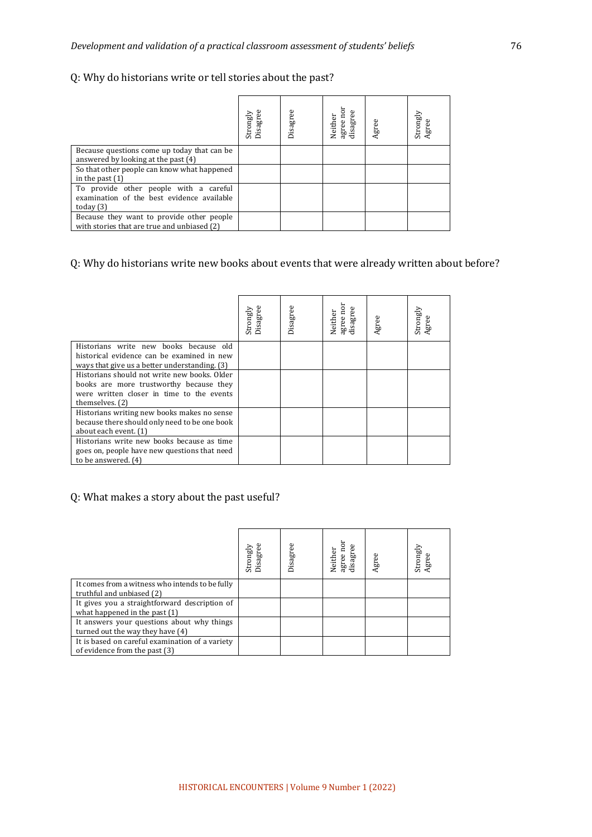# Q: Why do historians write or tell stories about the past?

|                                                                                                     | Strongly<br>Disagree | Disagree | lisagree<br>Neither<br>agree: | Agree | Strongly<br>Agree |
|-----------------------------------------------------------------------------------------------------|----------------------|----------|-------------------------------|-------|-------------------|
| Because questions come up today that can be.<br>answered by looking at the past (4)                 |                      |          |                               |       |                   |
| So that other people can know what happened<br>in the past $(1)$                                    |                      |          |                               |       |                   |
| To provide other people with a careful<br>examination of the best evidence available<br>today $(3)$ |                      |          |                               |       |                   |
| Because they want to provide other people<br>with stories that are true and unbiased (2)            |                      |          |                               |       |                   |

# Q: Why do historians write new books about events that were already written about before?

|                                                                                                                                                         | Disagree<br>Strongly | Disagree | agree noi<br>disagree<br>Neither | Agree | Strongly<br>Agree |
|---------------------------------------------------------------------------------------------------------------------------------------------------------|----------------------|----------|----------------------------------|-------|-------------------|
| Historians write new books because old<br>historical evidence can be examined in new<br>ways that give us a better understanding. (3)                   |                      |          |                                  |       |                   |
| Historians should not write new books, Older<br>books are more trustworthy because they<br>were written closer in time to the events<br>themselves. (2) |                      |          |                                  |       |                   |
| Historians writing new books makes no sense<br>because there should only need to be one book<br>about each event. (1)                                   |                      |          |                                  |       |                   |
| Historians write new books because as time<br>goes on, people have new questions that need<br>to be answered. (4)                                       |                      |          |                                  |       |                   |

# Q: What makes a story about the past useful?

|                                                                                  | Strongly<br>Disagre | isagree | agree no<br>Φ<br>isagre<br>Neither | Agree | Strongly<br>Agree |
|----------------------------------------------------------------------------------|---------------------|---------|------------------------------------|-------|-------------------|
| It comes from a witness who intends to be fully<br>truthful and unbiased (2)     |                     |         |                                    |       |                   |
| It gives you a straightforward description of<br>what happened in the past $(1)$ |                     |         |                                    |       |                   |
| It answers your questions about why things<br>turned out the way they have (4)   |                     |         |                                    |       |                   |
| It is based on careful examination of a variety<br>of evidence from the past (3) |                     |         |                                    |       |                   |